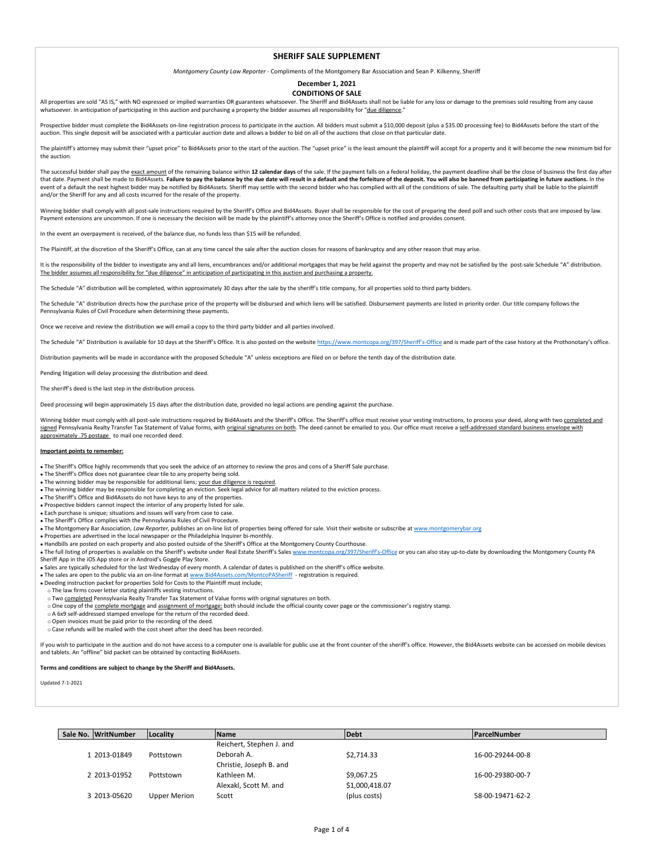## **SHERIFF SALE SLIPPLEMENT**

*Montgomery County Law Reporter -* Compliments of the Montgomery Bar Association and Sean P. Kilkenny, Sheriff

## **December 1, 2021 CONDITIONS OF SALE**

All properties are sold "AS IS," with NO expressed or implied warranties OR guarantees whatsoever. The Sheriff and Bid4Assets shall not be liable for any loss or damage to the premises sold resulting from any cause whatsoever. In anticipation of participating in this auction and purchasing a property the bidder assumes all responsibility for "due diligence."

Prospective bidder must complete the Bid4Assets on-line registration process to participate in the auction. All bidders must submit a \$10,000 deposit (plus a \$35.00 processing fee) to Bid4Assets before the start of the auction. This single deposit will be associated with a particular auction date and allows a bidder to bid on all of the auctions that close on that particular date.

The plaintiff's attorney may submit their "upset price" to Bid4Assets prior to the start of the auction. The "upset price" is the least amount the plaintiff will accept for a property and it will become the new minimum bid the auction.

The successful bidder shall pay the exact amount of the remaining balance within 12 calendar days of the sale. If the payment falls on a federal holiday, the payment deadline shall be the close of business the first day af that date. Payment shall be made to Bid4Assets. Failure to pay the balance by the due date will result in a default and the forfeiture of the deposit. You will also be banned from participating in future auctions. In the event of a default the next highest bidder may be notified by Bid4Assets. Sheriff may settle with the second bidder who has complied with all of the conditions of sale. The defaulting party shall be liable to the plaintiff and/or the Sheriff for any and all costs incurred for the resale of the property.

Winning bidder shall comply with all post-sale instructions required by the Sheriff's Office and Bid4Assets. Buyer shall be responsible for the cost of preparing the deed poll and such other costs that are imposed by law. Payment extensions are uncommon. If one is necessary the decision will be made by the plaintiff's attorney once the Sheriff's Office is notified and provides consent.

In the event an overpayment is received, of the balance due, no funds less than \$15 will be refunded.

The Plaintiff, at the discretion of the Sheriff's Office, can at any time cancel the sale after the auction closes for reasons of bankruptcy and any other reason that may arise.

It is the responsibility of the bidder to investigate any and all liens, encumbrances and/or additional mortgages that may be held against the property and may not be satisfied by the post-sale Schedule "A" distribution. The bidder assumes all responsibility for "due diligence" in anticipation of participating in this auction and purchasing a property.

The Schedule "A" distribution will be completed, within approximately 30 days after the sale by the sheriff's title company, for all properties sold to third party bidders.

The Schedule "A" distribution directs how the purchase price of the property will be disbursed and which liens will be satisfied. Disbursement payments are listed in priority order. Our title company follows the Pennsylvania Rules of Civil Procedure when determining these payments.

we receive and review the distribution we will email a copy to the third party bidder and all parties involved.

The Schedule "A" Distribution is available for 10 days at the Sheriff's Office. It is also posted on the website https://www.montcopa.org/397/Sheriff's-Office and is made part of the case bistory at the Prothonotary's offi

Distribution payments will be made in accordance with the proposed Schedule "A" unless exceptions are filed on or before the tenth day of the distribution date.

Pending litigation will delay processing the distribution and deed.

The sheriff's deed is the last step in the distribution process.

Deed processing will begin approximately 15 days after the distribution date, provided no legal actions are pending against the purchase.

Winning bidder must comply with all post-sale instructions required by Bid4Assets and the Sheriff's Office. The Sheriff's office must receive your vesting instructions, to process your deed, along with two <u>completed and</u><br> approximately .75 postage to mail one recorded deed.

## **Important points to remember:**

The Sheriff's Office highly recommends that you seek the advice of an attorney to review the pros and cons of a Sheriff Sale purchase.

The Sheriff's Office does not guarantee clear tile to any property being sold.

. The winning bidder may be responsible for additional liens; your due diligence is required.

- The winning bidder may be responsible for completing an eviction. Seek legal advice for all matters related to the eviction process.
- The Sheriff's Office and Bid4Assets do not have keys to any of the properties.
- Prospective bidders cannot inspect the interior of any property listed for sale.

Each purchase is unique; situations and issues will vary from case to case.

The Sheriff's Office complies with the Pennsylvania Rules of Civil Procedure.

The Montgomery Bar Association, *Law Reporter,* publishes an on-line list of properties being offered for sale. Visit their website or subscribe at www.montgomerybar.org

Properties are advertised in the local newspaper or the Philadelphia Inquirer bi-monthly.

• Handbills are posted on each property and also posted outside of the Sheriff's Office at the Montgomery County Courthouse.

. The full listing of properties is available on the Sheriff's website under Real Estate Sheriff's Sales www.montcopa.org/397/Sheriff's-Office or you can also stay up-to-date by downloading the Montgomery County PA Sheriff App in the iOS App store or in Android's Goggle Play Store.

Sales are typically scheduled for the last Wednesday of every month. A calendar of dates is published on the sheriff's office website.

- The sales are open to the public via an on-line format at <u>www.Bid4Assets.com/MontcoPASheriff</u> registration is required.<br>• Deeding instruction packet for properties Sold for Costs to the Plaintiff must include;
- The law firms cover letter stating plaintiffs vesting instructions.
- o Two completed Pennsylvania Realty Transfer Tax Statement of Value forms with original signatures on both.
- One copy of the complete mortgage and assignment of mortgage; both should include the official county cover page or the commissioner's registry stamp.
- o A 6x9 self-addressed stamped envelope for the return of the recorded deed.
- Open invoices must be paid prior to the recording of the deed.
- Case refunds will be mailed with the cost sheet after the deed has been recorded.

If you wish to participate in the auction and do not have access to a computer one is available for public use at the front counter of the sheriff's office. However, the Bid4Assets website can be accessed on mobile devices and tablets. An "offline" bid packet can be obtained by contacting Bid4Assets.

**Terms and conditions are subject to change by the Sheriff and Bid4Assets.**

Updated 7-1-2021

| Sale No. WritNumber | Locality     | <b>Name</b>              | Debt           | <b>ParcelNumber</b> |
|---------------------|--------------|--------------------------|----------------|---------------------|
|                     |              | Reichert, Stephen J. and |                |                     |
| 1 2013-01849        | Pottstown    | Deborah A.               | \$2.714.33     | 16-00-29244-00-8    |
|                     |              | Christie, Joseph B. and  |                |                     |
| 2 2013-01952        | Pottstown    | Kathleen M.              | \$9.067.25     | 16-00-29380-00-7    |
|                     |              | Alexakl, Scott M. and    | \$1,000,418.07 |                     |
| 3 2013-05620        | Upper Merion | Scott                    | (plus costs)   | 58-00-19471-62-2    |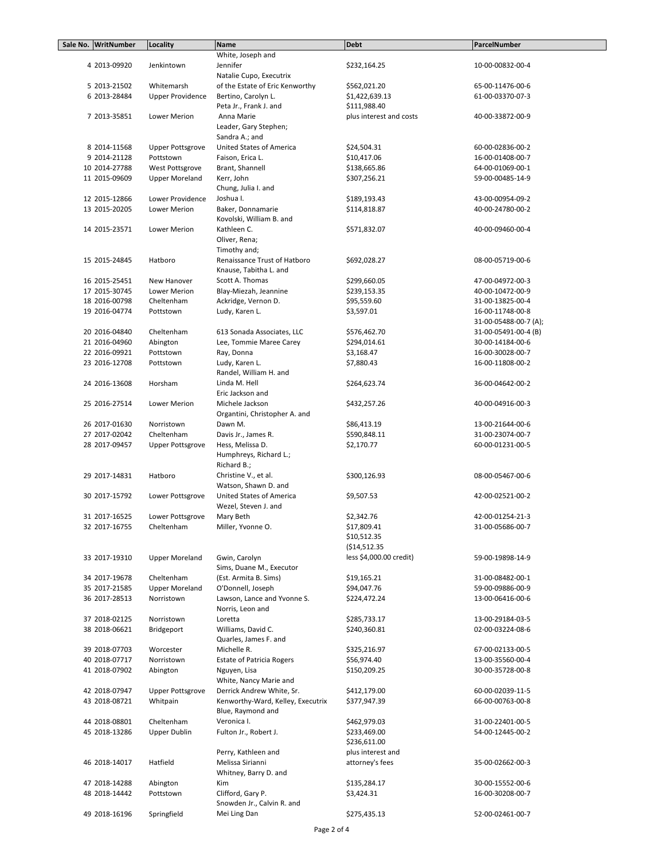| Sale No. WritNumber | Locality                | <b>Name</b>                       | <b>Debt</b>             | ParcelNumber          |
|---------------------|-------------------------|-----------------------------------|-------------------------|-----------------------|
|                     |                         | White, Joseph and                 |                         |                       |
| 4 2013-09920        | Jenkintown              | Jennifer                          | \$232,164.25            | 10-00-00832-00-4      |
|                     |                         | Natalie Cupo, Executrix           |                         |                       |
| 5 2013-21502        | Whitemarsh              | of the Estate of Eric Kenworthy   | \$562,021.20            | 65-00-11476-00-6      |
|                     |                         |                                   |                         |                       |
| 6 2013-28484        | <b>Upper Providence</b> | Bertino, Carolyn L.               | \$1,422,639.13          | 61-00-03370-07-3      |
|                     |                         | Peta Jr., Frank J. and            | \$111,988.40            |                       |
| 7 2013-35851        | Lower Merion            | Anna Marie                        | plus interest and costs | 40-00-33872-00-9      |
|                     |                         | Leader, Gary Stephen;             |                         |                       |
|                     |                         | Sandra A.; and                    |                         |                       |
| 8 2014-11568        | <b>Upper Pottsgrove</b> | United States of America          | \$24,504.31             | 60-00-02836-00-2      |
| 9 2014-21128        | Pottstown               | Faison, Erica L.                  | \$10,417.06             | 16-00-01408-00-7      |
| 10 2014-27788       | West Pottsgrove         | Brant, Shannell                   | \$138,665.86            | 64-00-01069-00-1      |
| 11 2015-09609       | <b>Upper Moreland</b>   | Kerr, John                        | \$307,256.21            | 59-00-00485-14-9      |
|                     |                         | Chung, Julia I. and               |                         |                       |
|                     |                         |                                   |                         |                       |
| 12 2015-12866       | Lower Providence        | Joshua I.                         | \$189,193.43            | 43-00-00954-09-2      |
| 13 2015-20205       | Lower Merion            | Baker, Donnamarie                 | \$114,818.87            | 40-00-24780-00-2      |
|                     |                         | Kovolski, William B. and          |                         |                       |
| 14 2015-23571       | Lower Merion            | Kathleen C.                       | \$571,832.07            | 40-00-09460-00-4      |
|                     |                         | Oliver, Rena;                     |                         |                       |
|                     |                         | Timothy and;                      |                         |                       |
| 15 2015-24845       | Hatboro                 | Renaissance Trust of Hatboro      | \$692,028.27            | 08-00-05719-00-6      |
|                     |                         | Knause, Tabitha L. and            |                         |                       |
| 16 2015-25451       | New Hanover             | Scott A. Thomas                   | \$299,660.05            | 47-00-04972-00-3      |
|                     |                         |                                   |                         |                       |
| 17 2015-30745       | Lower Merion            | Blay-Miezah, Jeannine             | \$239,153.35            | 40-00-10472-00-9      |
| 18 2016-00798       | Cheltenham              | Ackridge, Vernon D.               | \$95,559.60             | 31-00-13825-00-4      |
| 19 2016-04774       | Pottstown               | Ludy, Karen L.                    | \$3,597.01              | 16-00-11748-00-8      |
|                     |                         |                                   |                         | 31-00-05488-00-7 (A); |
| 20 2016-04840       | Cheltenham              | 613 Sonada Associates, LLC        | \$576,462.70            | 31-00-05491-00-4 (B)  |
| 21 2016-04960       | Abington                | Lee, Tommie Maree Carey           | \$294,014.61            | 30-00-14184-00-6      |
| 22 2016-09921       | Pottstown               | Ray, Donna                        | \$3,168.47              | 16-00-30028-00-7      |
| 23 2016-12708       | Pottstown               | Ludy, Karen L.                    | \$7,880.43              | 16-00-11808-00-2      |
|                     |                         |                                   |                         |                       |
|                     |                         | Randel, William H. and            |                         |                       |
| 24 2016-13608       | Horsham                 | Linda M. Hell                     | \$264,623.74            | 36-00-04642-00-2      |
|                     |                         | Eric Jackson and                  |                         |                       |
| 25 2016-27514       | Lower Merion            | Michele Jackson                   | \$432,257.26            | 40-00-04916-00-3      |
|                     |                         | Organtini, Christopher A. and     |                         |                       |
| 26 2017-01630       | Norristown              | Dawn M.                           | \$86,413.19             | 13-00-21644-00-6      |
| 27 2017-02042       | Cheltenham              | Davis Jr., James R.               | \$590,848.11            | 31-00-23074-00-7      |
| 28 2017-09457       | <b>Upper Pottsgrove</b> | Hess, Melissa D.                  | \$2,170.77              | 60-00-01231-00-5      |
|                     |                         | Humphreys, Richard L.;            |                         |                       |
|                     |                         | Richard B.;                       |                         |                       |
|                     |                         |                                   |                         |                       |
| 29 2017-14831       | Hatboro                 | Christine V., et al.              | \$300,126.93            | 08-00-05467-00-6      |
|                     |                         | Watson, Shawn D. and              |                         |                       |
| 30 2017-15792       | Lower Pottsgrove        | United States of America          | \$9,507.53              | 42-00-02521-00-2      |
|                     |                         | Wezel, Steven J. and              |                         |                       |
| 31 2017-16525       | Lower Pottsgrove        | Mary Beth                         | \$2,342.76              | 42-00-01254-21-3      |
| 32 2017-16755       | Cheltenham              | Miller, Yvonne O.                 | \$17,809.41             | 31-00-05686-00-7      |
|                     |                         |                                   | \$10,512.35             |                       |
|                     |                         |                                   | ( \$14, 512.35          |                       |
| 33 2017-19310       | <b>Upper Moreland</b>   | Gwin, Carolyn                     | less \$4,000.00 credit) | 59-00-19898-14-9      |
|                     |                         |                                   |                         |                       |
|                     |                         | Sims, Duane M., Executor          |                         |                       |
| 34 2017-19678       | Cheltenham              | (Est. Armita B. Sims)             | \$19,165.21             | 31-00-08482-00-1      |
| 35 2017-21585       | <b>Upper Moreland</b>   | O'Donnell, Joseph                 | \$94,047.76             | 59-00-09886-00-9      |
| 36 2017-28513       | Norristown              | Lawson, Lance and Yvonne S.       | \$224,472.24            | 13-00-06416-00-6      |
|                     |                         | Norris, Leon and                  |                         |                       |
| 37 2018-02125       | Norristown              | Loretta                           | \$285,733.17            | 13-00-29184-03-5      |
| 38 2018-06621       | Bridgeport              | Williams, David C.                | \$240,360.81            | 02-00-03224-08-6      |
|                     |                         | Quarles, James F. and             |                         |                       |
| 39 2018-07703       | Worcester               | Michelle R.                       |                         | 67-00-02133-00-5      |
|                     |                         |                                   | \$325,216.97            |                       |
| 40 2018-07717       | Norristown              | Estate of Patricia Rogers         | \$56,974.40             | 13-00-35560-00-4      |
| 41 2018-07902       | Abington                | Nguyen, Lisa                      | \$150,209.25            | 30-00-35728-00-8      |
|                     |                         | White, Nancy Marie and            |                         |                       |
| 42 2018-07947       | <b>Upper Pottsgrove</b> | Derrick Andrew White, Sr.         | \$412,179.00            | 60-00-02039-11-5      |
| 43 2018-08721       | Whitpain                | Kenworthy-Ward, Kelley, Executrix | \$377,947.39            | 66-00-00763-00-8      |
|                     |                         | Blue, Raymond and                 |                         |                       |
| 44 2018-08801       | Cheltenham              | Veronica I.                       | \$462,979.03            | 31-00-22401-00-5      |
| 45 2018-13286       | <b>Upper Dublin</b>     | Fulton Jr., Robert J.             | \$233,469.00            | 54-00-12445-00-2      |
|                     |                         |                                   |                         |                       |
|                     |                         |                                   | \$236,611.00            |                       |
|                     |                         | Perry, Kathleen and               | plus interest and       |                       |
| 46 2018-14017       | Hatfield                | Melissa Sirianni                  | attorney's fees         | 35-00-02662-00-3      |
|                     |                         | Whitney, Barry D. and             |                         |                       |
| 47 2018-14288       | Abington                | Kim                               | \$135,284.17            | 30-00-15552-00-6      |
| 48 2018-14442       | Pottstown               | Clifford, Gary P.                 | \$3,424.31              | 16-00-30208-00-7      |
|                     |                         | Snowden Jr., Calvin R. and        |                         |                       |
| 49 2018-16196       | Springfield             | Mei Ling Dan                      | \$275,435.13            | 52-00-02461-00-7      |
|                     |                         |                                   |                         |                       |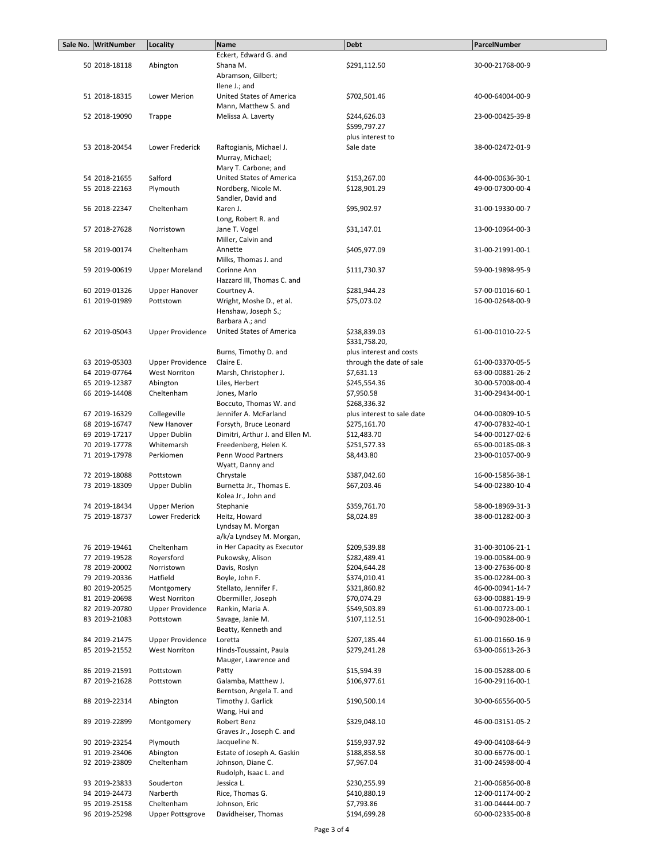| Sale No. WritNumber | Locality                | <b>Name</b>                     | <b>Debt</b>                | ParcelNumber     |
|---------------------|-------------------------|---------------------------------|----------------------------|------------------|
|                     |                         | Eckert, Edward G. and           |                            |                  |
| 50 2018-18118       | Abington                | Shana M.                        | \$291,112.50               | 30-00-21768-00-9 |
|                     |                         | Abramson, Gilbert;              |                            |                  |
|                     |                         | Ilene J.; and                   |                            |                  |
| 51 2018-18315       | Lower Merion            | United States of America        | \$702,501.46               | 40-00-64004-00-9 |
|                     |                         | Mann, Matthew S. and            |                            |                  |
| 52 2018-19090       | Trappe                  | Melissa A. Laverty              | \$244,626.03               | 23-00-00425-39-8 |
|                     |                         |                                 | \$599,797.27               |                  |
|                     |                         |                                 | plus interest to           |                  |
| 53 2018-20454       | Lower Frederick         | Raftogianis, Michael J.         | Sale date                  | 38-00-02472-01-9 |
|                     |                         | Murray, Michael;                |                            |                  |
|                     |                         | Mary T. Carbone; and            |                            |                  |
| 54 2018-21655       | Salford                 | United States of America        | \$153,267.00               | 44-00-00636-30-1 |
| 55 2018-22163       | Plymouth                | Nordberg, Nicole M.             | \$128,901.29               | 49-00-07300-00-4 |
|                     |                         | Sandler, David and              |                            |                  |
| 56 2018-22347       | Cheltenham              | Karen J.                        | \$95,902.97                | 31-00-19330-00-7 |
|                     |                         | Long, Robert R. and             |                            |                  |
| 57 2018-27628       | Norristown              | Jane T. Vogel                   | \$31,147.01                | 13-00-10964-00-3 |
|                     |                         | Miller, Calvin and              |                            |                  |
| 58 2019-00174       | Cheltenham              | Annette                         | \$405,977.09               | 31-00-21991-00-1 |
|                     |                         | Milks, Thomas J. and            |                            |                  |
| 59 2019-00619       | <b>Upper Moreland</b>   | Corinne Ann                     | \$111,730.37               | 59-00-19898-95-9 |
|                     |                         | Hazzard III, Thomas C. and      |                            |                  |
|                     |                         |                                 |                            |                  |
| 60 2019-01326       | <b>Upper Hanover</b>    | Courtney A.                     | \$281,944.23               | 57-00-01016-60-1 |
| 61 2019-01989       | Pottstown               | Wright, Moshe D., et al.        | \$75,073.02                | 16-00-02648-00-9 |
|                     |                         | Henshaw, Joseph S.;             |                            |                  |
|                     |                         | Barbara A.; and                 |                            |                  |
| 62 2019-05043       | <b>Upper Providence</b> | <b>United States of America</b> | \$238,839.03               | 61-00-01010-22-5 |
|                     |                         |                                 | \$331,758.20,              |                  |
|                     |                         | Burns, Timothy D. and           | plus interest and costs    |                  |
| 63 2019-05303       | <b>Upper Providence</b> | Claire E.                       | through the date of sale   | 61-00-03370-05-5 |
| 64 2019-07764       | <b>West Norriton</b>    | Marsh, Christopher J.           | \$7,631.13                 | 63-00-00881-26-2 |
| 65 2019-12387       | Abington                | Liles, Herbert                  | \$245,554.36               | 30-00-57008-00-4 |
| 66 2019-14408       | Cheltenham              | Jones, Marlo                    | \$7,950.58                 | 31-00-29434-00-1 |
|                     |                         | Boccuto, Thomas W. and          | \$268,336.32               |                  |
| 67 2019-16329       | Collegeville            | Jennifer A. McFarland           | plus interest to sale date | 04-00-00809-10-5 |
| 68 2019-16747       | New Hanover             | Forsyth, Bruce Leonard          | \$275,161.70               | 47-00-07832-40-1 |
| 69 2019-17217       | <b>Upper Dublin</b>     | Dimitri, Arthur J. and Ellen M. | \$12,483.70                | 54-00-00127-02-6 |
| 70 2019-17778       | Whitemarsh              | Freedenberg, Helen K.           | \$251,577.33               | 65-00-00185-08-3 |
| 71 2019-17978       | Perkiomen               | Penn Wood Partners              | \$8,443.80                 | 23-00-01057-00-9 |
|                     |                         | Wyatt, Danny and                |                            |                  |
| 72 2019-18088       | Pottstown               | Chrystale                       | \$387,042.60               | 16-00-15856-38-1 |
| 73 2019-18309       | Upper Dublin            | Burnetta Jr., Thomas E.         | \$67,203.46                | 54-00-02380-10-4 |
|                     |                         | Kolea Jr., John and             |                            |                  |
| 74 2019-18434       | <b>Upper Merion</b>     | Stephanie                       | \$359,761.70               | 58-00-18969-31-3 |
| 75 2019-18737       | Lower Frederick         |                                 |                            | 38-00-01282-00-3 |
|                     |                         | Heitz, Howard                   | \$8,024.89                 |                  |
|                     |                         | Lyndsay M. Morgan               |                            |                  |
|                     |                         | a/k/a Lyndsey M. Morgan,        |                            |                  |
| 76 2019-19461       | Cheltenham              | in Her Capacity as Executor     | \$209,539.88               | 31-00-30106-21-1 |
| 77 2019-19528       | Royersford              | Pukowsky, Alison                | \$282,489.41               | 19-00-00584-00-9 |
| 78 2019-20002       | Norristown              | Davis, Roslyn                   | \$204,644.28               | 13-00-27636-00-8 |
| 79 2019-20336       | Hatfield                | Boyle, John F.                  | \$374,010.41               | 35-00-02284-00-3 |
| 80 2019-20525       | Montgomery              | Stellato, Jennifer F.           | \$321,860.82               | 46-00-00941-14-7 |
| 81 2019-20698       | <b>West Norriton</b>    | Obermiller, Joseph              | \$70,074.29                | 63-00-00881-19-9 |
| 82 2019-20780       | <b>Upper Providence</b> | Rankin, Maria A.                | \$549,503.89               | 61-00-00723-00-1 |
| 83 2019-21083       | Pottstown               | Savage, Janie M.                | \$107,112.51               | 16-00-09028-00-1 |
|                     |                         | Beatty, Kenneth and             |                            |                  |
| 84 2019-21475       | <b>Upper Providence</b> | Loretta                         | \$207,185.44               | 61-00-01660-16-9 |
| 85 2019-21552       | <b>West Norriton</b>    | Hinds-Toussaint, Paula          | \$279,241.28               | 63-00-06613-26-3 |
|                     |                         | Mauger, Lawrence and            |                            |                  |
| 86 2019-21591       | Pottstown               | Patty                           | \$15,594.39                | 16-00-05288-00-6 |
| 87 2019-21628       | Pottstown               | Galamba, Matthew J.             | \$106,977.61               | 16-00-29116-00-1 |
|                     |                         | Berntson, Angela T. and         |                            |                  |
| 88 2019-22314       | Abington                | Timothy J. Garlick              | \$190,500.14               | 30-00-66556-00-5 |
|                     |                         | Wang, Hui and                   |                            |                  |
|                     |                         | Robert Benz                     |                            |                  |
| 89 2019-22899       | Montgomery              |                                 | \$329,048.10               | 46-00-03151-05-2 |
|                     |                         | Graves Jr., Joseph C. and       |                            |                  |
| 90 2019-23254       | Plymouth                | Jacqueline N.                   | \$159,937.92               | 49-00-04108-64-9 |
| 91 2019-23406       | Abington                | Estate of Joseph A. Gaskin      | \$188,858.58               | 30-00-66776-00-1 |
| 92 2019-23809       | Cheltenham              | Johnson, Diane C.               | \$7,967.04                 | 31-00-24598-00-4 |
|                     |                         | Rudolph, Isaac L. and           |                            |                  |
| 93 2019-23833       | Souderton               | Jessica L.                      | \$230,255.99               | 21-00-06856-00-8 |
| 94 2019-24473       | Narberth                | Rice, Thomas G.                 | \$410,880.19               | 12-00-01174-00-2 |
| 95 2019-25158       | Cheltenham              | Johnson, Eric                   | \$7,793.86                 | 31-00-04444-00-7 |
| 96 2019-25298       | <b>Upper Pottsgrove</b> | Davidheiser, Thomas             | \$194,699.28               | 60-00-02335-00-8 |
|                     |                         |                                 |                            |                  |